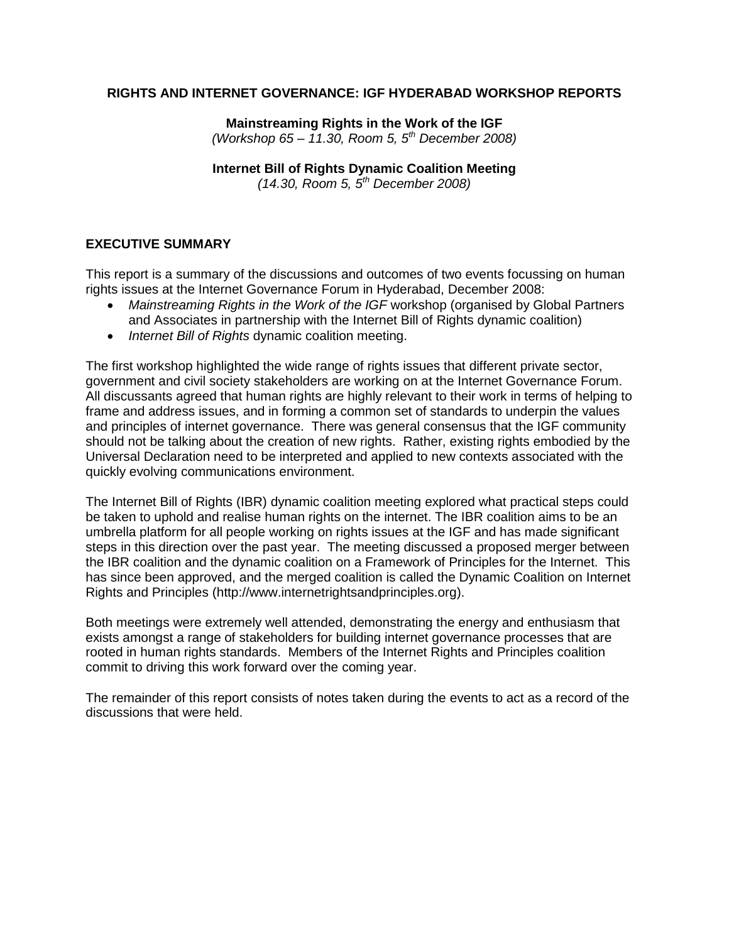#### **RIGHTS AND INTERNET GOVERNANCE: IGF HYDERABAD WORKSHOP REPORTS**

**Mainstreaming Rights in the Work of the IGF**  *(Workshop 65 – 11.30, Room 5, 5th December 2008)*

#### **Internet Bill of Rights Dynamic Coalition Meeting**

*(14.30, Room 5, 5th December 2008)*

#### **EXECUTIVE SUMMARY**

This report is a summary of the discussions and outcomes of two events focussing on human rights issues at the Internet Governance Forum in Hyderabad, December 2008:

- *Mainstreaming Rights in the Work of the IGF* workshop (organised by Global Partners and Associates in partnership with the Internet Bill of Rights dynamic coalition)
- *Internet Bill of Rights* dynamic coalition meeting.

The first workshop highlighted the wide range of rights issues that different private sector, government and civil society stakeholders are working on at the Internet Governance Forum. All discussants agreed that human rights are highly relevant to their work in terms of helping to frame and address issues, and in forming a common set of standards to underpin the values and principles of internet governance. There was general consensus that the IGF community should not be talking about the creation of new rights. Rather, existing rights embodied by the Universal Declaration need to be interpreted and applied to new contexts associated with the quickly evolving communications environment.

The Internet Bill of Rights (IBR) dynamic coalition meeting explored what practical steps could be taken to uphold and realise human rights on the internet. The IBR coalition aims to be an umbrella platform for all people working on rights issues at the IGF and has made significant steps in this direction over the past year. The meeting discussed a proposed merger between the IBR coalition and the dynamic coalition on a Framework of Principles for the Internet. This has since been approved, and the merged coalition is called the Dynamic Coalition on Internet Rights and Principles (http://www.internetrightsandprinciples.org).

Both meetings were extremely well attended, demonstrating the energy and enthusiasm that exists amongst a range of stakeholders for building internet governance processes that are rooted in human rights standards. Members of the Internet Rights and Principles coalition commit to driving this work forward over the coming year.

The remainder of this report consists of notes taken during the events to act as a record of the discussions that were held.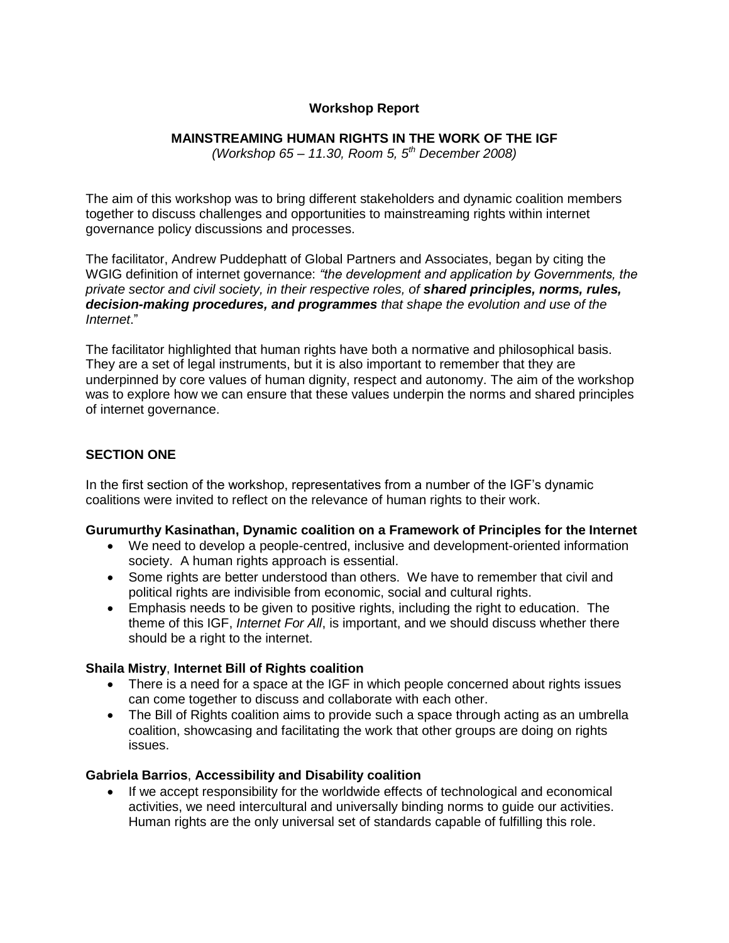# **Workshop Report**

### **MAINSTREAMING HUMAN RIGHTS IN THE WORK OF THE IGF**

*(Workshop 65 – 11.30, Room 5, 5th December 2008)*

The aim of this workshop was to bring different stakeholders and dynamic coalition members together to discuss challenges and opportunities to mainstreaming rights within internet governance policy discussions and processes.

The facilitator, Andrew Puddephatt of Global Partners and Associates, began by citing the WGIG definition of internet governance: *"the development and application by Governments, the private sector and civil society, in their respective roles, of shared principles, norms, rules, decision-making procedures, and programmes that shape the evolution and use of the Internet*."

The facilitator highlighted that human rights have both a normative and philosophical basis. They are a set of legal instruments, but it is also important to remember that they are underpinned by core values of human dignity, respect and autonomy. The aim of the workshop was to explore how we can ensure that these values underpin the norms and shared principles of internet governance.

# **SECTION ONE**

In the first section of the workshop, representatives from a number of the IGF's dynamic coalitions were invited to reflect on the relevance of human rights to their work.

#### **Gurumurthy Kasinathan, Dynamic coalition on a Framework of Principles for the Internet**

- We need to develop a people-centred, inclusive and development-oriented information society. A human rights approach is essential.
- Some rights are better understood than others. We have to remember that civil and political rights are indivisible from economic, social and cultural rights.
- Emphasis needs to be given to positive rights, including the right to education. The theme of this IGF, *Internet For All*, is important, and we should discuss whether there should be a right to the internet.

### **Shaila Mistry**, **Internet Bill of Rights coalition**

- There is a need for a space at the IGF in which people concerned about rights issues can come together to discuss and collaborate with each other.
- The Bill of Rights coalition aims to provide such a space through acting as an umbrella coalition, showcasing and facilitating the work that other groups are doing on rights issues.

### **Gabriela Barrios**, **Accessibility and Disability coalition**

 If we accept responsibility for the worldwide effects of technological and economical activities, we need intercultural and universally binding norms to guide our activities. Human rights are the only universal set of standards capable of fulfilling this role.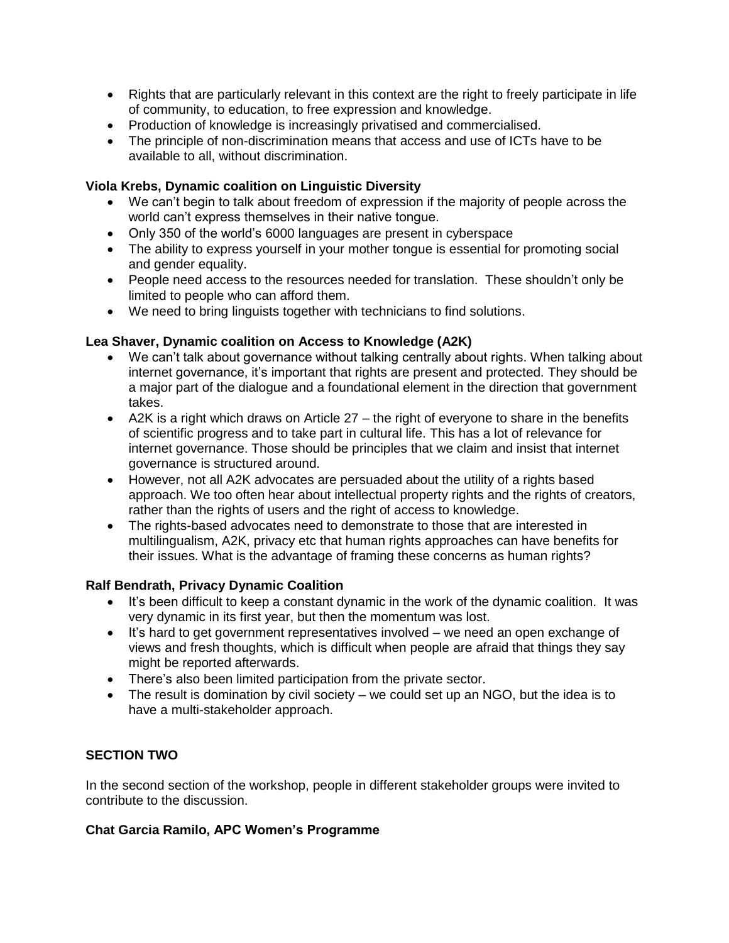- Rights that are particularly relevant in this context are the right to freely participate in life of community, to education, to free expression and knowledge.
- Production of knowledge is increasingly privatised and commercialised.
- The principle of non-discrimination means that access and use of ICTs have to be available to all, without discrimination.

### **Viola Krebs, Dynamic coalition on Linguistic Diversity**

- We can't begin to talk about freedom of expression if the majority of people across the world can't express themselves in their native tongue.
- Only 350 of the world's 6000 languages are present in cyberspace
- The ability to express yourself in your mother tongue is essential for promoting social and gender equality.
- People need access to the resources needed for translation. These shouldn't only be limited to people who can afford them.
- We need to bring linguists together with technicians to find solutions.

# **Lea Shaver, Dynamic coalition on Access to Knowledge (A2K)**

- We can't talk about governance without talking centrally about rights. When talking about internet governance, it's important that rights are present and protected. They should be a major part of the dialogue and a foundational element in the direction that government takes.
- A2K is a right which draws on Article 27 the right of everyone to share in the benefits of scientific progress and to take part in cultural life. This has a lot of relevance for internet governance. Those should be principles that we claim and insist that internet governance is structured around.
- However, not all A2K advocates are persuaded about the utility of a rights based approach. We too often hear about intellectual property rights and the rights of creators, rather than the rights of users and the right of access to knowledge.
- The rights-based advocates need to demonstrate to those that are interested in multilingualism, A2K, privacy etc that human rights approaches can have benefits for their issues. What is the advantage of framing these concerns as human rights?

### **Ralf Bendrath, Privacy Dynamic Coalition**

- It's been difficult to keep a constant dynamic in the work of the dynamic coalition. It was very dynamic in its first year, but then the momentum was lost.
- It's hard to get government representatives involved we need an open exchange of views and fresh thoughts, which is difficult when people are afraid that things they say might be reported afterwards.
- There's also been limited participation from the private sector.
- The result is domination by civil society we could set up an NGO, but the idea is to have a multi-stakeholder approach.

# **SECTION TWO**

In the second section of the workshop, people in different stakeholder groups were invited to contribute to the discussion.

### **Chat Garcia Ramilo, APC Women's Programme**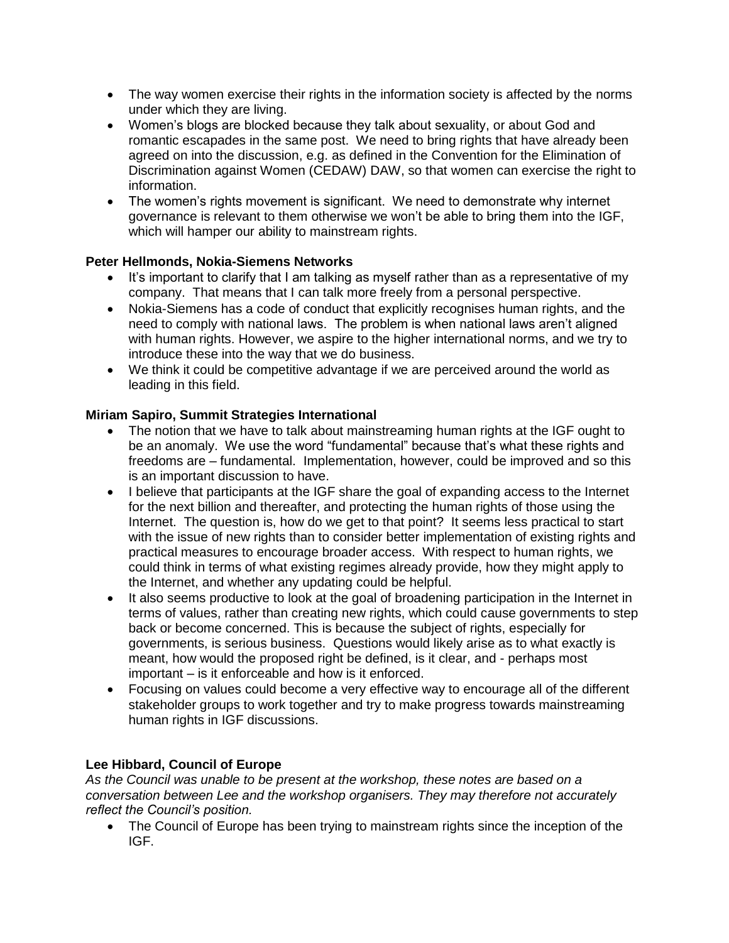- The way women exercise their rights in the information society is affected by the norms under which they are living.
- Women's blogs are blocked because they talk about sexuality, or about God and romantic escapades in the same post. We need to bring rights that have already been agreed on into the discussion, e.g. as defined in the Convention for the Elimination of Discrimination against Women (CEDAW) DAW, so that women can exercise the right to information.
- The women's rights movement is significant. We need to demonstrate why internet governance is relevant to them otherwise we won't be able to bring them into the IGF, which will hamper our ability to mainstream rights.

# **Peter Hellmonds, Nokia-Siemens Networks**

- It's important to clarify that I am talking as myself rather than as a representative of my company. That means that I can talk more freely from a personal perspective.
- Nokia-Siemens has a code of conduct that explicitly recognises human rights, and the need to comply with national laws. The problem is when national laws aren't aligned with human rights. However, we aspire to the higher international norms, and we try to introduce these into the way that we do business.
- We think it could be competitive advantage if we are perceived around the world as leading in this field.

# **Miriam Sapiro, Summit Strategies International**

- The notion that we have to talk about mainstreaming human rights at the IGF ought to be an anomaly. We use the word "fundamental" because that's what these rights and freedoms are – fundamental. Implementation, however, could be improved and so this is an important discussion to have.
- I believe that participants at the IGF share the goal of expanding access to the Internet for the next billion and thereafter, and protecting the human rights of those using the Internet. The question is, how do we get to that point? It seems less practical to start with the issue of new rights than to consider better implementation of existing rights and practical measures to encourage broader access. With respect to human rights, we could think in terms of what existing regimes already provide, how they might apply to the Internet, and whether any updating could be helpful.
- It also seems productive to look at the goal of broadening participation in the Internet in terms of values, rather than creating new rights, which could cause governments to step back or become concerned. This is because the subject of rights, especially for governments, is serious business. Questions would likely arise as to what exactly is meant, how would the proposed right be defined, is it clear, and - perhaps most important – is it enforceable and how is it enforced.
- Focusing on values could become a very effective way to encourage all of the different stakeholder groups to work together and try to make progress towards mainstreaming human rights in IGF discussions.

# **Lee Hibbard, Council of Europe**

*As the Council was unable to be present at the workshop, these notes are based on a conversation between Lee and the workshop organisers. They may therefore not accurately reflect the Council's position.*

• The Council of Europe has been trying to mainstream rights since the inception of the IGF.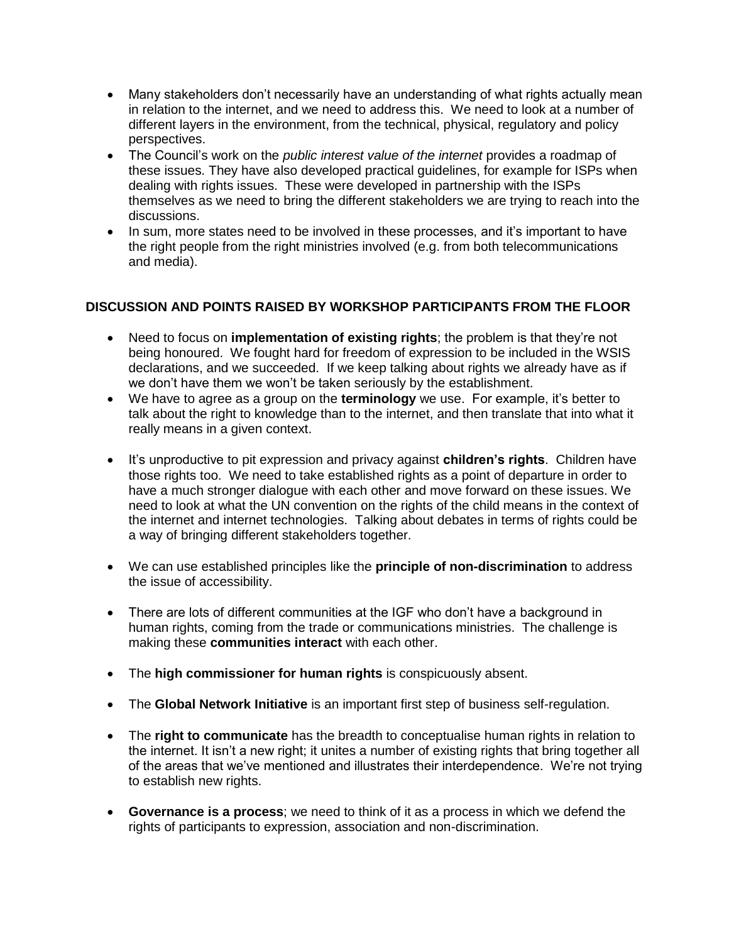- Many stakeholders don't necessarily have an understanding of what rights actually mean in relation to the internet, and we need to address this. We need to look at a number of different layers in the environment, from the technical, physical, regulatory and policy perspectives.
- The Council's work on the *public interest value of the internet* provides a roadmap of these issues. They have also developed practical guidelines, for example for ISPs when dealing with rights issues. These were developed in partnership with the ISPs themselves as we need to bring the different stakeholders we are trying to reach into the discussions.
- In sum, more states need to be involved in these processes, and it's important to have the right people from the right ministries involved (e.g. from both telecommunications and media).

# **DISCUSSION AND POINTS RAISED BY WORKSHOP PARTICIPANTS FROM THE FLOOR**

- Need to focus on **implementation of existing rights**; the problem is that they're not being honoured. We fought hard for freedom of expression to be included in the WSIS declarations, and we succeeded. If we keep talking about rights we already have as if we don't have them we won't be taken seriously by the establishment.
- We have to agree as a group on the **terminology** we use. For example, it's better to talk about the right to knowledge than to the internet, and then translate that into what it really means in a given context.
- It's unproductive to pit expression and privacy against **children's rights**. Children have those rights too. We need to take established rights as a point of departure in order to have a much stronger dialogue with each other and move forward on these issues. We need to look at what the UN convention on the rights of the child means in the context of the internet and internet technologies. Talking about debates in terms of rights could be a way of bringing different stakeholders together.
- We can use established principles like the **principle of non-discrimination** to address the issue of accessibility.
- There are lots of different communities at the IGF who don't have a background in human rights, coming from the trade or communications ministries. The challenge is making these **communities interact** with each other.
- The **high commissioner for human rights** is conspicuously absent.
- The **Global Network Initiative** is an important first step of business self-regulation.
- The **right to communicate** has the breadth to conceptualise human rights in relation to the internet. It isn't a new right; it unites a number of existing rights that bring together all of the areas that we've mentioned and illustrates their interdependence. We're not trying to establish new rights.
- **Governance is a process**; we need to think of it as a process in which we defend the rights of participants to expression, association and non-discrimination.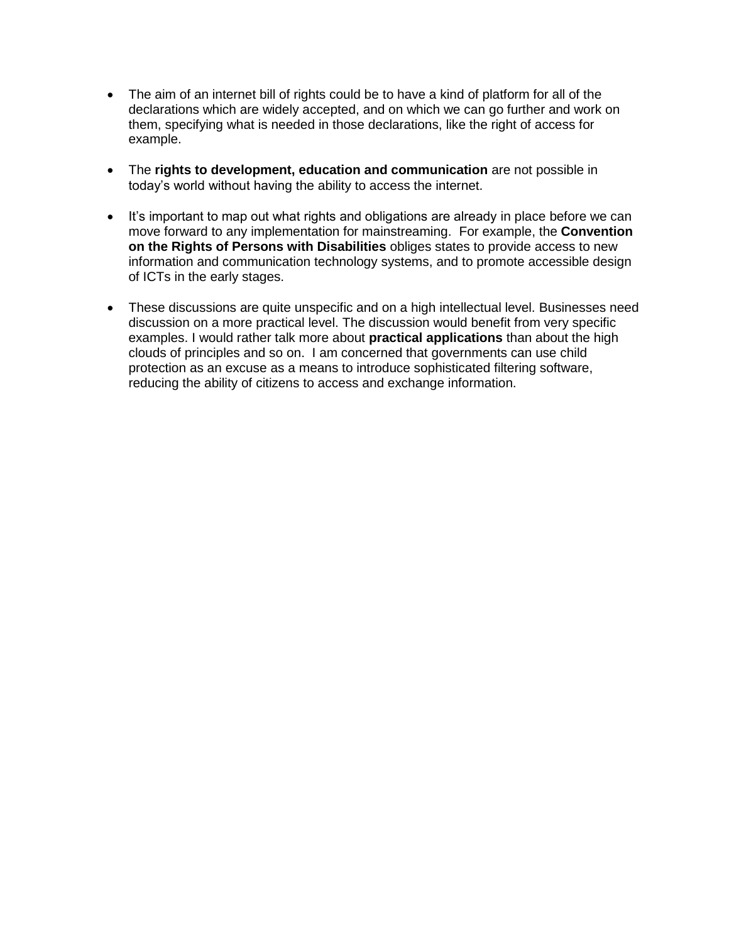- The aim of an internet bill of rights could be to have a kind of platform for all of the declarations which are widely accepted, and on which we can go further and work on them, specifying what is needed in those declarations, like the right of access for example.
- The **rights to development, education and communication** are not possible in today's world without having the ability to access the internet.
- It's important to map out what rights and obligations are already in place before we can move forward to any implementation for mainstreaming. For example, the **Convention on the Rights of Persons with Disabilities** obliges states to provide access to new information and communication technology systems, and to promote accessible design of ICTs in the early stages.
- These discussions are quite unspecific and on a high intellectual level. Businesses need discussion on a more practical level. The discussion would benefit from very specific examples. I would rather talk more about **practical applications** than about the high clouds of principles and so on. I am concerned that governments can use child protection as an excuse as a means to introduce sophisticated filtering software, reducing the ability of citizens to access and exchange information.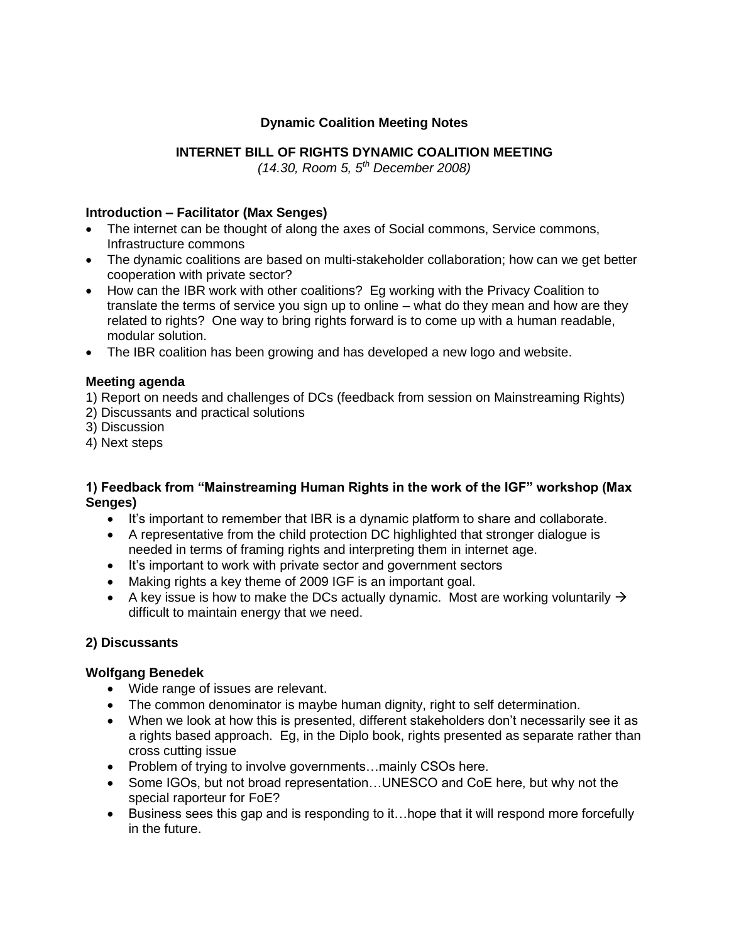# **Dynamic Coalition Meeting Notes**

# **INTERNET BILL OF RIGHTS DYNAMIC COALITION MEETING**

*(14.30, Room 5, 5th December 2008)*

### **Introduction – Facilitator (Max Senges)**

- The internet can be thought of along the axes of Social commons, Service commons, Infrastructure commons
- The dynamic coalitions are based on multi-stakeholder collaboration; how can we get better cooperation with private sector?
- How can the IBR work with other coalitions? Eg working with the Privacy Coalition to translate the terms of service you sign up to online – what do they mean and how are they related to rights? One way to bring rights forward is to come up with a human readable, modular solution.
- The IBR coalition has been growing and has developed a new logo and website.

# **Meeting agenda**

1) Report on needs and challenges of DCs (feedback from session on Mainstreaming Rights)

- 2) Discussants and practical solutions
- 3) Discussion
- 4) Next steps

# **1) Feedback from "Mainstreaming Human Rights in the work of the IGF" workshop (Max Senges)**

- It's important to remember that IBR is a dynamic platform to share and collaborate.
- A representative from the child protection DC highlighted that stronger dialogue is needed in terms of framing rights and interpreting them in internet age.
- It's important to work with private sector and government sectors
- Making rights a key theme of 2009 IGF is an important goal.
- A key issue is how to make the DCs actually dynamic. Most are working voluntarily  $\rightarrow$ difficult to maintain energy that we need.

# **2) Discussants**

### **Wolfgang Benedek**

- Wide range of issues are relevant.
- The common denominator is maybe human dignity, right to self determination.
- When we look at how this is presented, different stakeholders don't necessarily see it as a rights based approach. Eg, in the Diplo book, rights presented as separate rather than cross cutting issue
- Problem of trying to involve governments...mainly CSOs here.
- Some IGOs, but not broad representation...UNESCO and CoE here, but why not the special raporteur for FoE?
- Business sees this gap and is responding to it...hope that it will respond more forcefully in the future.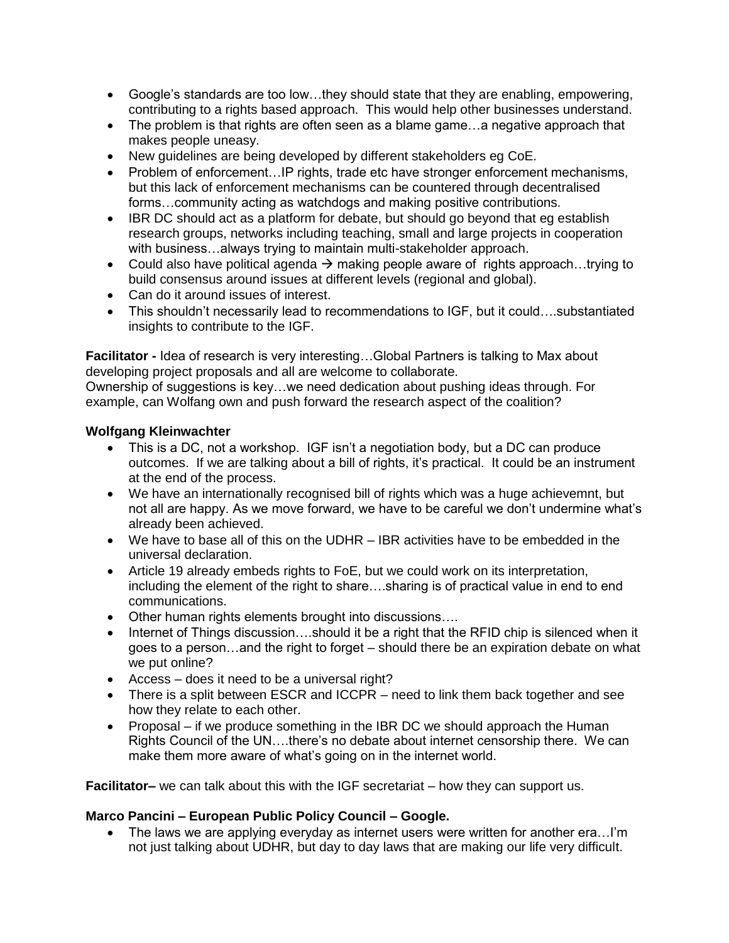- Google's standards are too low…they should state that they are enabling, empowering, contributing to a rights based approach. This would help other businesses understand.
- The problem is that rights are often seen as a blame game…a negative approach that makes people uneasy.
- New guidelines are being developed by different stakeholders eg CoE.
- Problem of enforcement...IP rights, trade etc have stronger enforcement mechanisms, but this lack of enforcement mechanisms can be countered through decentralised forms…community acting as watchdogs and making positive contributions.
- IBR DC should act as a platform for debate, but should go beyond that eg establish research groups, networks including teaching, small and large projects in cooperation with business…always trying to maintain multi-stakeholder approach.
- Could also have political agenda  $\rightarrow$  making people aware of rights approach...trying to build consensus around issues at different levels (regional and global).
- Can do it around issues of interest.
- This shouldn't necessarily lead to recommendations to IGF, but it could….substantiated insights to contribute to the IGF.

**Facilitator -** Idea of research is very interesting…Global Partners is talking to Max about developing project proposals and all are welcome to collaborate.

Ownership of suggestions is key…we need dedication about pushing ideas through. For example, can Wolfang own and push forward the research aspect of the coalition?

### **Wolfgang Kleinwachter**

- This is a DC, not a workshop. IGF isn't a negotiation body, but a DC can produce outcomes. If we are talking about a bill of rights, it's practical. It could be an instrument at the end of the process.
- We have an internationally recognised bill of rights which was a huge achievemnt, but not all are happy. As we move forward, we have to be careful we don't undermine what's already been achieved.
- We have to base all of this on the UDHR IBR activities have to be embedded in the universal declaration.
- Article 19 already embeds rights to FoE, but we could work on its interpretation, including the element of the right to share….sharing is of practical value in end to end communications.
- Other human rights elements brought into discussions….
- Internet of Things discussion....should it be a right that the RFID chip is silenced when it goes to a person…and the right to forget – should there be an expiration debate on what we put online?
- Access does it need to be a universal right?
- There is a split between ESCR and ICCPR need to link them back together and see how they relate to each other.
- Proposal if we produce something in the IBR DC we should approach the Human Rights Council of the UN….there's no debate about internet censorship there. We can make them more aware of what's going on in the internet world.

**Facilitator–** we can talk about this with the IGF secretariat – how they can support us.

### **Marco Pancini – European Public Policy Council – Google.**

• The laws we are applying everyday as internet users were written for another era...I'm not just talking about UDHR, but day to day laws that are making our life very difficult.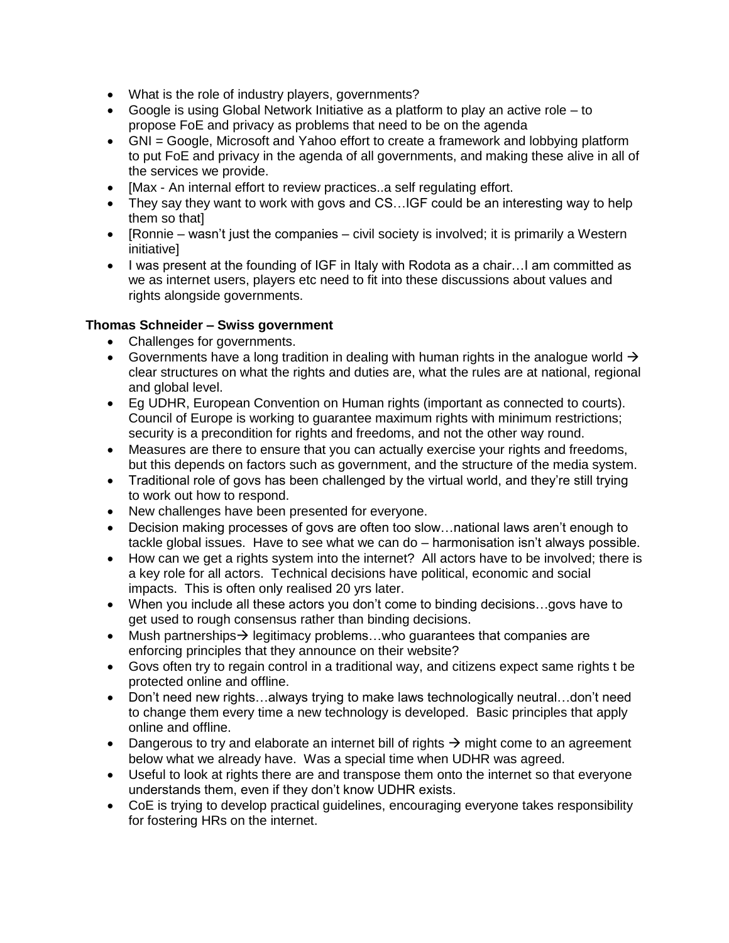- What is the role of industry players, governments?
- Google is using Global Network Initiative as a platform to play an active role to propose FoE and privacy as problems that need to be on the agenda
- GNI = Google, Microsoft and Yahoo effort to create a framework and lobbying platform to put FoE and privacy in the agenda of all governments, and making these alive in all of the services we provide.
- [Max An internal effort to review practices..a self regulating effort.
- They say they want to work with govs and CS...IGF could be an interesting way to help them so that]
- $\bullet$  [Ronnie wasn't just the companies civil society is involved; it is primarily a Western initiative]
- I was present at the founding of IGF in Italy with Rodota as a chair...I am committed as we as internet users, players etc need to fit into these discussions about values and rights alongside governments.

# **Thomas Schneider – Swiss government**

- Challenges for governments.
- Governments have a long tradition in dealing with human rights in the analogue world  $\rightarrow$ clear structures on what the rights and duties are, what the rules are at national, regional and global level.
- Eg UDHR, European Convention on Human rights (important as connected to courts). Council of Europe is working to guarantee maximum rights with minimum restrictions; security is a precondition for rights and freedoms, and not the other way round.
- Measures are there to ensure that you can actually exercise your rights and freedoms, but this depends on factors such as government, and the structure of the media system.
- Traditional role of govs has been challenged by the virtual world, and they're still trying to work out how to respond.
- New challenges have been presented for everyone.
- Decision making processes of govs are often too slow…national laws aren't enough to tackle global issues. Have to see what we can do – harmonisation isn't always possible.
- How can we get a rights system into the internet? All actors have to be involved; there is a key role for all actors. Technical decisions have political, economic and social impacts. This is often only realised 20 yrs later.
- When you include all these actors you don't come to binding decisions…govs have to get used to rough consensus rather than binding decisions.
- Mush partnerships  $\rightarrow$  legitimacy problems...who guarantees that companies are enforcing principles that they announce on their website?
- Govs often try to regain control in a traditional way, and citizens expect same rights t be protected online and offline.
- Don't need new rights…always trying to make laws technologically neutral…don't need to change them every time a new technology is developed. Basic principles that apply online and offline.
- Dangerous to try and elaborate an internet bill of rights  $\rightarrow$  might come to an agreement below what we already have. Was a special time when UDHR was agreed.
- Useful to look at rights there are and transpose them onto the internet so that everyone understands them, even if they don't know UDHR exists.
- CoE is trying to develop practical guidelines, encouraging everyone takes responsibility for fostering HRs on the internet.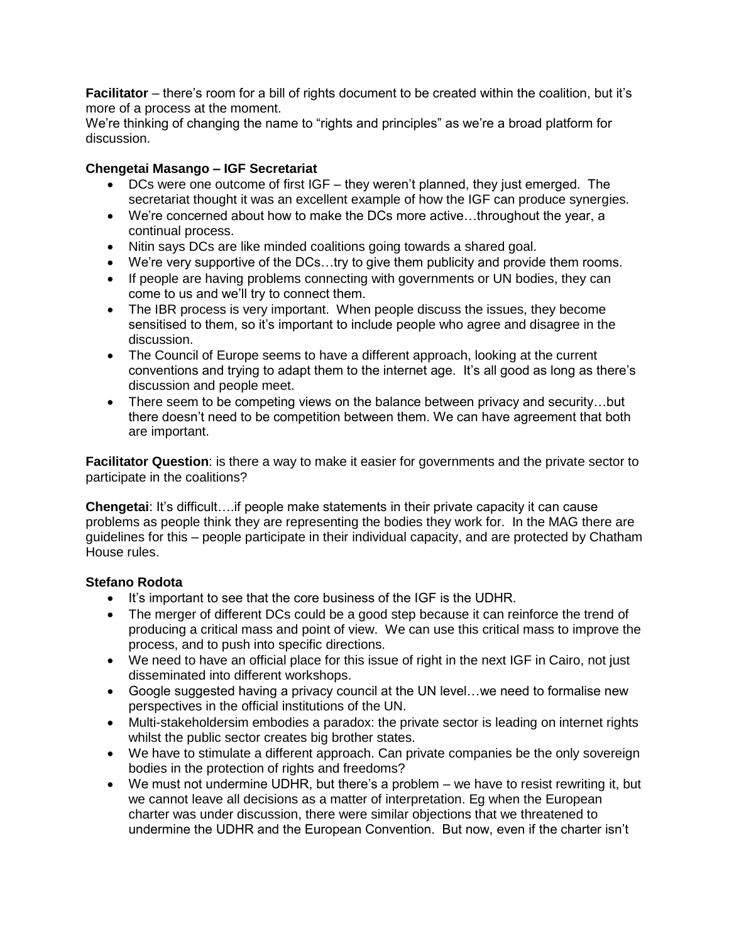**Facilitator** – there's room for a bill of rights document to be created within the coalition, but it's more of a process at the moment.

We're thinking of changing the name to "rights and principles" as we're a broad platform for discussion.

# **Chengetai Masango – IGF Secretariat**

- DCs were one outcome of first IGF they weren't planned, they just emerged. The secretariat thought it was an excellent example of how the IGF can produce synergies.
- We're concerned about how to make the DCs more active…throughout the year, a continual process.
- Nitin says DCs are like minded coalitions going towards a shared goal.
- We're very supportive of the DCs…try to give them publicity and provide them rooms.
- If people are having problems connecting with governments or UN bodies, they can come to us and we'll try to connect them.
- The IBR process is very important. When people discuss the issues, they become sensitised to them, so it's important to include people who agree and disagree in the discussion.
- The Council of Europe seems to have a different approach, looking at the current conventions and trying to adapt them to the internet age. It's all good as long as there's discussion and people meet.
- There seem to be competing views on the balance between privacy and security...but there doesn't need to be competition between them. We can have agreement that both are important.

**Facilitator Question**: is there a way to make it easier for governments and the private sector to participate in the coalitions?

**Chengetai**: It's difficult....if people make statements in their private capacity it can cause problems as people think they are representing the bodies they work for. In the MAG there are guidelines for this – people participate in their individual capacity, and are protected by Chatham House rules.

### **Stefano Rodota**

- It's important to see that the core business of the IGF is the UDHR.
- The merger of different DCs could be a good step because it can reinforce the trend of producing a critical mass and point of view. We can use this critical mass to improve the process, and to push into specific directions.
- We need to have an official place for this issue of right in the next IGF in Cairo, not just disseminated into different workshops.
- Google suggested having a privacy council at the UN level…we need to formalise new perspectives in the official institutions of the UN.
- Multi-stakeholdersim embodies a paradox: the private sector is leading on internet rights whilst the public sector creates big brother states.
- We have to stimulate a different approach. Can private companies be the only sovereign bodies in the protection of rights and freedoms?
- We must not undermine UDHR, but there's a problem we have to resist rewriting it, but we cannot leave all decisions as a matter of interpretation. Eg when the European charter was under discussion, there were similar objections that we threatened to undermine the UDHR and the European Convention. But now, even if the charter isn't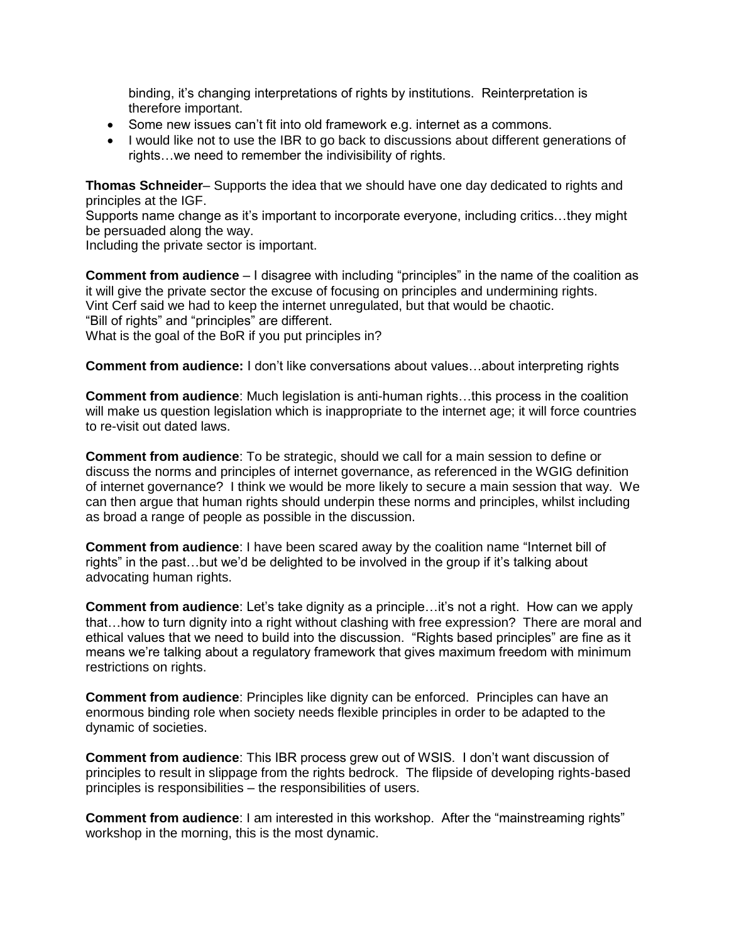binding, it's changing interpretations of rights by institutions. Reinterpretation is therefore important.

- Some new issues can't fit into old framework e.g. internet as a commons.
- I would like not to use the IBR to go back to discussions about different generations of rights…we need to remember the indivisibility of rights.

**Thomas Schneider**– Supports the idea that we should have one day dedicated to rights and principles at the IGF.

Supports name change as it's important to incorporate everyone, including critics…they might be persuaded along the way.

Including the private sector is important.

**Comment from audience** – I disagree with including "principles" in the name of the coalition as it will give the private sector the excuse of focusing on principles and undermining rights. Vint Cerf said we had to keep the internet unregulated, but that would be chaotic. "Bill of rights" and "principles" are different. What is the goal of the BoR if you put principles in?

**Comment from audience:** I don't like conversations about values…about interpreting rights

**Comment from audience**: Much legislation is anti-human rights…this process in the coalition will make us question legislation which is inappropriate to the internet age; it will force countries to re-visit out dated laws.

**Comment from audience**: To be strategic, should we call for a main session to define or discuss the norms and principles of internet governance, as referenced in the WGIG definition of internet governance? I think we would be more likely to secure a main session that way. We can then argue that human rights should underpin these norms and principles, whilst including as broad a range of people as possible in the discussion.

**Comment from audience**: I have been scared away by the coalition name "Internet bill of rights" in the past…but we'd be delighted to be involved in the group if it's talking about advocating human rights.

**Comment from audience**: Let's take dignity as a principle…it's not a right. How can we apply that…how to turn dignity into a right without clashing with free expression? There are moral and ethical values that we need to build into the discussion. "Rights based principles" are fine as it means we're talking about a regulatory framework that gives maximum freedom with minimum restrictions on rights.

**Comment from audience**: Principles like dignity can be enforced. Principles can have an enormous binding role when society needs flexible principles in order to be adapted to the dynamic of societies.

**Comment from audience**: This IBR process grew out of WSIS. I don't want discussion of principles to result in slippage from the rights bedrock. The flipside of developing rights-based principles is responsibilities – the responsibilities of users.

**Comment from audience**: I am interested in this workshop. After the "mainstreaming rights" workshop in the morning, this is the most dynamic.